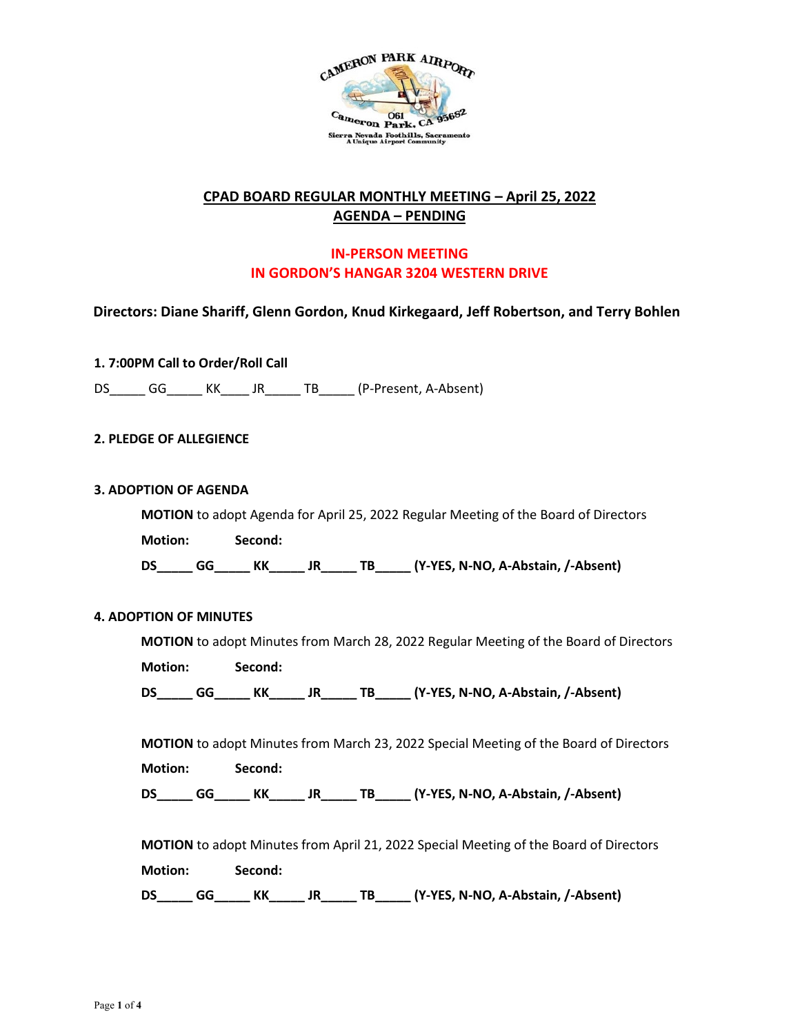

# **CPAD BOARD REGULAR MONTHLY MEETING – April 25, 2022 AGENDA – PENDING**

# **IN-PERSON MEETING IN GORDON'S HANGAR 3204 WESTERN DRIVE**

# **Directors: Diane Shariff, Glenn Gordon, Knud Kirkegaard, Jeff Robertson, and Terry Bohlen**

**1. 7:00PM Call to Order/Roll Call**

DS GG KK JR TB (P-Present, A-Absent)

# **2. PLEDGE OF ALLEGIENCE**

## **3. ADOPTION OF AGENDA**

**MOTION** to adopt Agenda for April 25, 2022 Regular Meeting of the Board of Directors **Motion: Second:** 

**DS\_\_\_\_\_ GG\_\_\_\_\_ KK\_\_\_\_\_ JR\_\_\_\_\_ TB\_\_\_\_\_ (Y-YES, N-NO, A-Abstain, /-Absent)** 

# **4. ADOPTION OF MINUTES**

**MOTION** to adopt Minutes from March 28, 2022 Regular Meeting of the Board of Directors

**Motion: Second:** 

**DS\_\_\_\_\_ GG\_\_\_\_\_ KK\_\_\_\_\_ JR\_\_\_\_\_ TB\_\_\_\_\_ (Y-YES, N-NO, A-Abstain, /-Absent)** 

**MOTION** to adopt Minutes from March 23, 2022 Special Meeting of the Board of Directors

**Motion: Second:** 

**DS\_\_\_\_\_ GG\_\_\_\_\_ KK\_\_\_\_\_ JR\_\_\_\_\_ TB\_\_\_\_\_ (Y-YES, N-NO, A-Abstain, /-Absent)** 

**MOTION** to adopt Minutes from April 21, 2022 Special Meeting of the Board of Directors **Motion: Second:** 

**DS\_\_\_\_\_ GG\_\_\_\_\_ KK\_\_\_\_\_ JR\_\_\_\_\_ TB\_\_\_\_\_ (Y-YES, N-NO, A-Abstain, /-Absent)**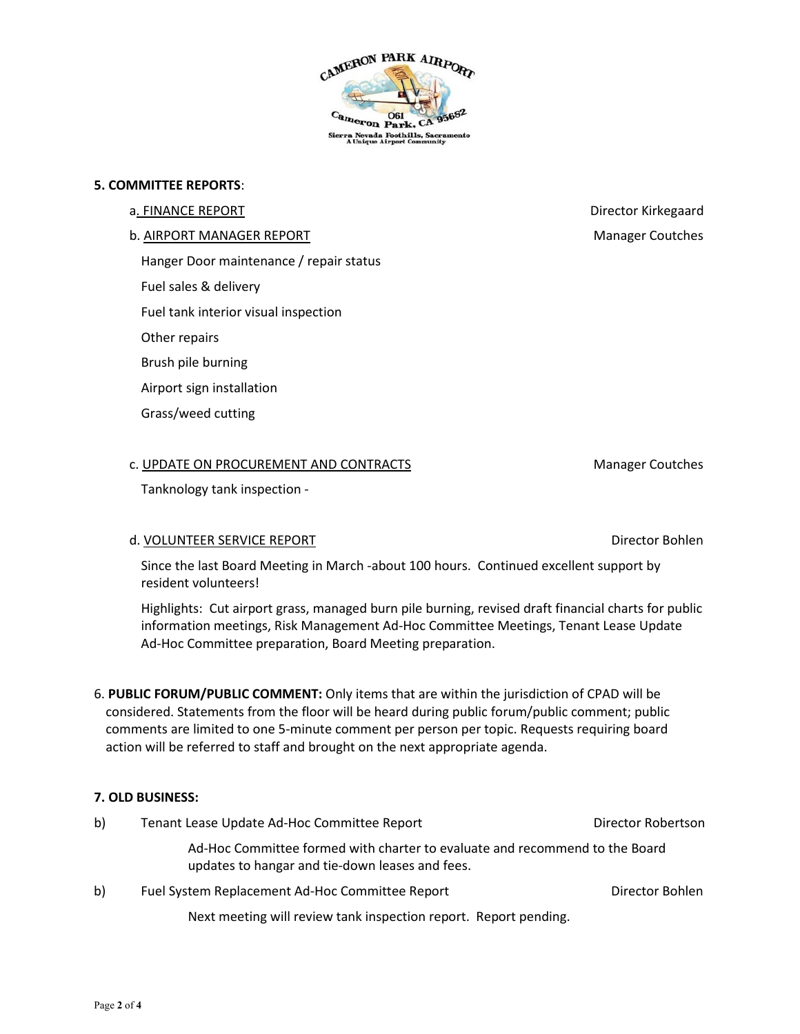

### **5. COMMITTEE REPORTS**:

### b. AIRPORT MANAGER REPORT MANAGER ARE ALL AND MANAGER AND MANAGER AND MANAGER AND MANAGER AND MANAGER AND MANAGER AND MANAGER AND MANAGER AND MANAGER AND MANAGER AND MANAGER AND MANAGER AND MANAGER AND MANAGER AND MANAGER

Hanger Door maintenance / repair status

Fuel sales & delivery

Fuel tank interior visual inspection

Other repairs

Brush pile burning

Airport sign installation

Grass/weed cutting

## c. UPDATE ON PROCUREMENT AND CONTRACTS MANAGEMENT MODEL CONTRACTS

a. FINANCE REPORT **EXECUTE:** The state of the state of the state of the state of the state of the state of the state of the state of the state of the state of the state of the state of the state of the state of the state o

Tanknology tank inspection -

### d. VOLUNTEER SERVICE REPORT NEED BOOK AND THE SERVICE REPORT

Since the last Board Meeting in March -about 100 hours. Continued excellent support by resident volunteers!

Highlights: Cut airport grass, managed burn pile burning, revised draft financial charts for public information meetings, Risk Management Ad-Hoc Committee Meetings, Tenant Lease Update Ad-Hoc Committee preparation, Board Meeting preparation.

6. **PUBLIC FORUM/PUBLIC COMMENT:** Only items that are within the jurisdiction of CPAD will be considered. Statements from the floor will be heard during public forum/public comment; public comments are limited to one 5-minute comment per person per topic. Requests requiring board action will be referred to staff and brought on the next appropriate agenda.

## **7. OLD BUSINESS:**

| b) | Tenant Lease Update Ad-Hoc Committee Report                                                                                    | Director Robertson |  |  |  |
|----|--------------------------------------------------------------------------------------------------------------------------------|--------------------|--|--|--|
|    | Ad-Hoc Committee formed with charter to evaluate and recommend to the Board<br>updates to hangar and tie-down leases and fees. |                    |  |  |  |
| b) | Fuel System Replacement Ad-Hoc Committee Report                                                                                | Director Bohlen    |  |  |  |
|    | Next meeting will review tank inspection report. Report pending.                                                               |                    |  |  |  |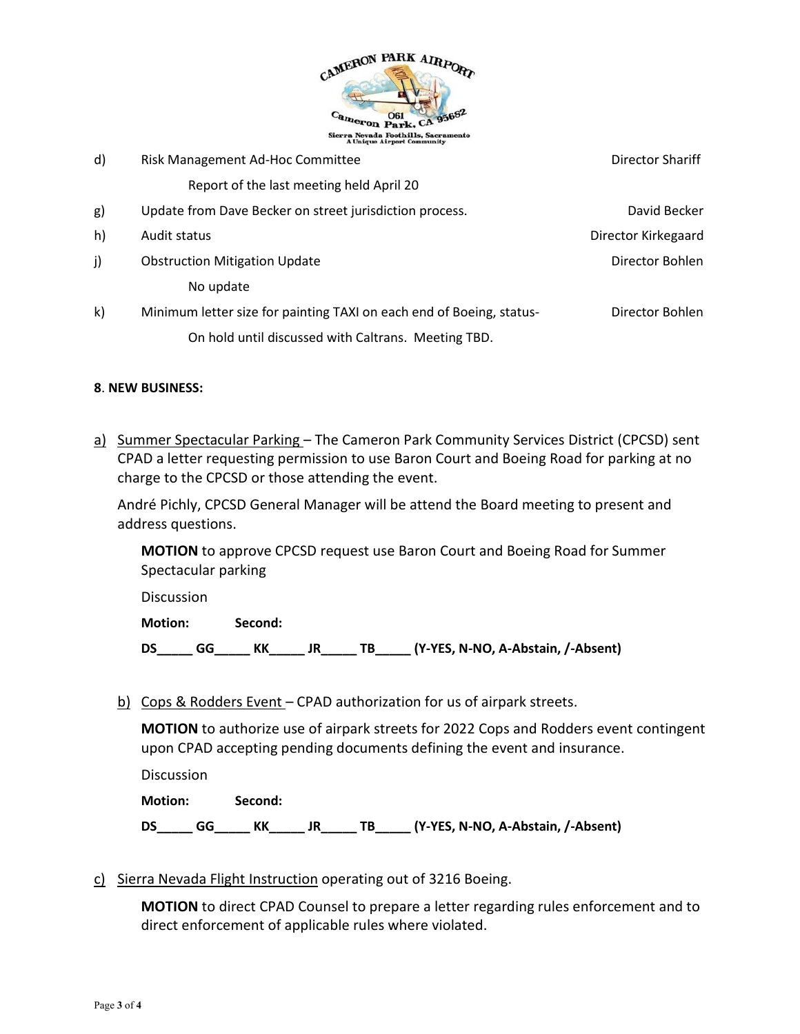

| $\mathsf{d}$ | Risk Management Ad-Hoc Committee                                     | Director Shariff    |  |
|--------------|----------------------------------------------------------------------|---------------------|--|
|              | Report of the last meeting held April 20                             |                     |  |
| g)           | Update from Dave Becker on street jurisdiction process.              | David Becker        |  |
| h)           | Audit status                                                         | Director Kirkegaard |  |
| j)           | <b>Obstruction Mitigation Update</b>                                 | Director Bohlen     |  |
|              | No update                                                            |                     |  |
| $\mathsf{k}$ | Minimum letter size for painting TAXI on each end of Boeing, status- | Director Bohlen     |  |
|              | On hold until discussed with Caltrans. Meeting TBD.                  |                     |  |

## **8**. **NEW BUSINESS:**

a) Summer Spectacular Parking – The Cameron Park Community Services District (CPCSD) sent CPAD a letter requesting permission to use Baron Court and Boeing Road for parking at no charge to the CPCSD or those attending the event.

André Pichly, CPCSD General Manager will be attend the Board meeting to present and address questions.

**MOTION** to approve CPCSD request use Baron Court and Boeing Road for Summer Spectacular parking

**Discussion** 

**Motion: Second:**

**DS\_\_\_\_\_ GG\_\_\_\_\_ KK\_\_\_\_\_ JR\_\_\_\_\_ TB\_\_\_\_\_ (Y-YES, N-NO, A-Abstain, /-Absent)** 

b) Cops & Rodders Event – CPAD authorization for us of airpark streets.

**MOTION** to authorize use of airpark streets for 2022 Cops and Rodders event contingent upon CPAD accepting pending documents defining the event and insurance.

**Discussion** 

**Motion: Second:**

**DS\_\_\_\_\_ GG\_\_\_\_\_ KK\_\_\_\_\_ JR\_\_\_\_\_ TB\_\_\_\_\_ (Y-YES, N-NO, A-Abstain, /-Absent)** 

c) Sierra Nevada Flight Instruction operating out of 3216 Boeing.

**MOTION** to direct CPAD Counsel to prepare a letter regarding rules enforcement and to direct enforcement of applicable rules where violated.